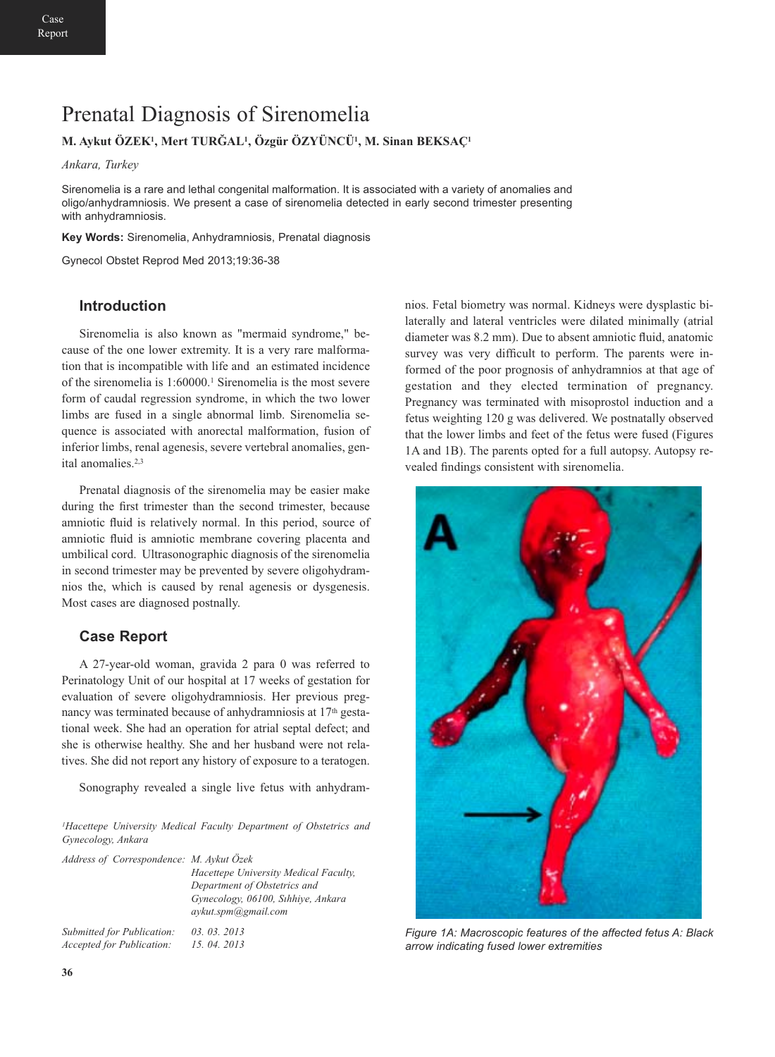# Prenatal Diagnosis of Sirenomelia

## **M. Aykut ÖZEK1, Mert TURĞAL1, Özgür ÖZYÜNCÜ1, M. Sinan BEKSAÇ1**

*Ankara, Turkey*

Sirenomelia is a rare and lethal congenital malformation. It is associated with a variety of anomalies and oligo/anhydramniosis. We present a case of sirenomelia detected in early second trimester presenting with anhydramniosis.

**Key Words:** Sirenomelia, Anhydramniosis, Prenatal diagnosis

Gynecol Obstet Reprod Med 2013;19:36-38

### **Introduction**

Sirenomelia is also known as "mermaid syndrome," because of the one lower extremity. It is a very rare malformation that is incompatible with life and an estimated incidence of the sirenomelia is 1:60000.1 Sirenomelia is the most severe form of caudal regression syndrome, in which the two lower limbs are fused in a single abnormal limb. Sirenomelia sequence is associated with anorectal malformation, fusion of inferior limbs, renal agenesis, severe vertebral anomalies, genital anomalies.2,3

Prenatal diagnosis of the sirenomelia may be easier make during the first trimester than the second trimester, because amniotic fluid is relatively normal. In this period, source of amniotic fluid is amniotic membrane covering placenta and umbilical cord. Ultrasonographic diagnosis of the sirenomelia in second trimester may be prevented by severe oligohydramnios the, which is caused by renal agenesis or dysgenesis. Most cases are diagnosed postnally.

## **Case Report**

A 27-year-old woman, gravida 2 para 0 was referred to Perinatology Unit of our hospital at 17 weeks of gestation for evaluation of severe oligohydramniosis. Her previous pregnancy was terminated because of anhydramniosis at  $17<sup>th</sup>$  gestational week. She had an operation for atrial septal defect; and she is otherwise healthy. She and her husband were not relatives. She did not report any history of exposure to a teratogen.

Sonography revealed a single live fetus with anhydram-

*1Hacettepe University Medical Faculty Department of Obstetrics and Gynecology, Ankara*

| Address of Correspondence: M. Aykut Özek | Hacettepe University Medical Faculty,<br>Department of Obstetrics and<br>Gynecology, 06100, Sthhive, Ankara<br>aykut.spm@gmail.com |
|------------------------------------------|------------------------------------------------------------------------------------------------------------------------------------|
| Submitted for Publication:               | 03.03.2013                                                                                                                         |
| <b>Accepted for Publication:</b>         | 15, 04, 2013                                                                                                                       |

nios. Fetal biometry was normal. Kidneys were dysplastic bilaterally and lateral ventricles were dilated minimally (atrial diameter was 8.2 mm). Due to absent amniotic fluid, anatomic survey was very difficult to perform. The parents were informed of the poor prognosis of anhydramnios at that age of gestation and they elected termination of pregnancy. Pregnancy was terminated with misoprostol induction and a fetus weighting 120 g was delivered. We postnatally observed that the lower limbs and feet of the fetus were fused (Figures 1A and 1B). The parents opted for a full autopsy. Autopsy revealed findings consistent with sirenomelia.



*Figure 1A: Macroscopic features of the affected fetus A: Black arrow indicating fused lower extremities*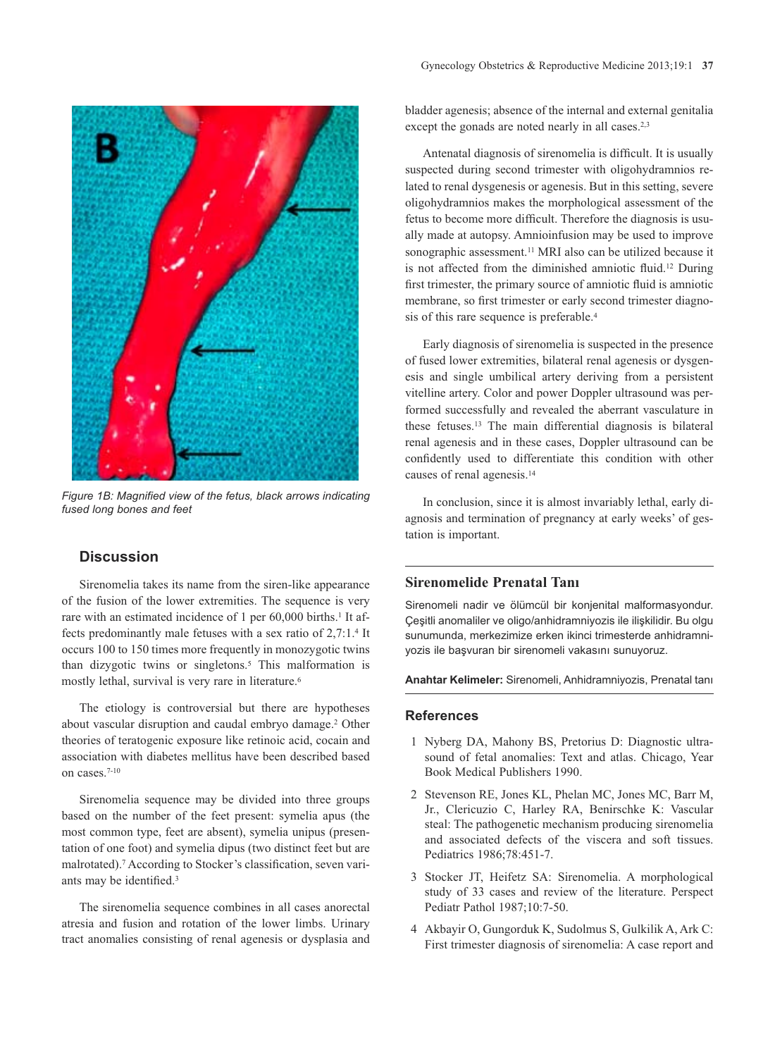

*Figure 1B: Magnified view of the fetus, black arrows indicating fused long bones and feet*

## **Discussion**

Sirenomelia takes its name from the siren-like appearance of the fusion of the lower extremities. The sequence is very rare with an estimated incidence of 1 per 60,000 births.<sup>1</sup> It affects predominantly male fetuses with a sex ratio of 2,7:1.4 It occurs 100 to 150 times more frequently in monozygotic twins than dizygotic twins or singletons.<sup>5</sup> This malformation is mostly lethal, survival is very rare in literature.6

The etiology is controversial but there are hypotheses about vascular disruption and caudal embryo damage.2 Other theories of teratogenic exposure like retinoic acid, cocain and association with diabetes mellitus have been described based on cases.7-10

Sirenomelia sequence may be divided into three groups based on the number of the feet present: symelia apus (the most common type, feet are absent), symelia unipus (presentation of one foot) and symelia dipus (two distinct feet but are malrotated).7 According to Stocker's classification, seven variants may be identified.3

The sirenomelia sequence combines in all cases anorectal atresia and fusion and rotation of the lower limbs. Urinary tract anomalies consisting of renal agenesis or dysplasia and

bladder agenesis; absence of the internal and external genitalia except the gonads are noted nearly in all cases.<sup>2,3</sup>

Antenatal diagnosis of sirenomelia is difficult. It is usually suspected during second trimester with oligohydramnios related to renal dysgenesis or agenesis. But in this setting, severe oligohydramnios makes the morphological assessment of the fetus to become more difficult. Therefore the diagnosis is usually made at autopsy. Amnioinfusion may be used to improve sonographic assessment.<sup>11</sup> MRI also can be utilized because it is not affected from the diminished amniotic fluid.12 During first trimester, the primary source of amniotic fluid is amniotic membrane, so first trimester or early second trimester diagnosis of this rare sequence is preferable.<sup>4</sup>

Early diagnosis of sirenomelia is suspected in the presence of fused lower extremities, bilateral renal agenesis or dysgenesis and single umbilical artery deriving from a persistent vitelline artery. Color and power Doppler ultrasound was performed successfully and revealed the aberrant vasculature in these fetuses.13 The main differential diagnosis is bilateral renal agenesis and in these cases, Doppler ultrasound can be confidently used to differentiate this condition with other causes of renal agenesis.14

In conclusion, since it is almost invariably lethal, early diagnosis and termination of pregnancy at early weeks' of gestation is important.

### **Sirenomelide Prenatal Tanı**

Sirenomeli nadir ve ölümcül bir konjenital malformasyondur. Çeşitli anomaliler ve oligo/anhidramniyozis ile ilişkilidir. Bu olgu sunumunda, merkezimize erken ikinci trimesterde anhidramniyozis ile başvuran bir sirenomeli vakasını sunuyoruz.

**Anahtar Kelimeler:** Sirenomeli, Anhidramniyozis, Prenatal tanı

#### **References**

- 1 Nyberg DA, Mahony BS, Pretorius D: Diagnostic ultrasound of fetal anomalies: Text and atlas. Chicago, Year Book Medical Publishers 1990.
- 2 Stevenson RE, Jones KL, Phelan MC, Jones MC, Barr M, Jr., Clericuzio C, Harley RA, Benirschke K: Vascular steal: The pathogenetic mechanism producing sirenomelia and associated defects of the viscera and soft tissues. Pediatrics 1986;78:451-7.
- 3 Stocker JT, Heifetz SA: Sirenomelia. A morphological study of 33 cases and review of the literature. Perspect Pediatr Pathol 1987;10:7-50.
- 4 Akbayir O, Gungorduk K, Sudolmus S, Gulkilik A, Ark C: First trimester diagnosis of sirenomelia: A case report and